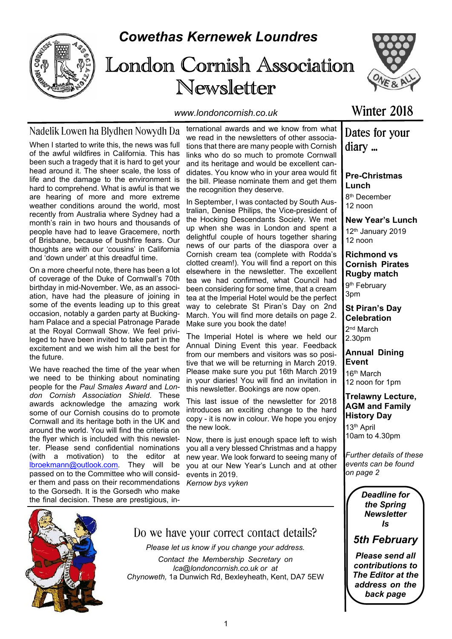

# *Cowethas Kernewek Loundres*

# London Cornish Association Newsletter



*www.londoncornish.co.uk*

### Nadelik Lowen ha Blydhen Nowydh Da

When I started to write this, the news was full of the awful wildfires in California. This has been such a tragedy that it is hard to get your head around it. The sheer scale, the loss of life and the damage to the environment is hard to comprehend. What is awful is that we are hearing of more and more extreme weather conditions around the world, most recently from Australia where Sydney had a month's rain in two hours and thousands of people have had to leave Gracemere, north of Brisbane, because of bushfire fears. Our thoughts are with our 'cousins' in California and 'down under' at this dreadful time.

On a more cheerful note, there has been a lot of coverage of the Duke of Cornwall's 70th birthday in mid-November. We, as an association, have had the pleasure of joining in some of the events leading up to this great occasion, notably a garden party at Buckingham Palace and a special Patronage Parade at the Royal Cornwall Show. We feel privileged to have been invited to take part in the excitement and we wish him all the best for the future.

We have reached the time of the year when we need to be thinking about nominating people for the *Paul Smales Award* and *London Cornish Association Shield*. These awards acknowledge the amazing work some of our Cornish cousins do to promote Cornwall and its heritage both in the UK and around the world. You will find the criteria on the flyer which is included with this newsletter. Please send confidential nominations (with a motivation) to the editor at lbroekmann@outlook.com. They will be passed on to the Committee who will consider them and pass on their recommendations to the Gorsedh. It is the Gorsedh who make the final decision. These are prestigious, in-

ternational awards and we know from what we read in the newsletters of other associations that there are many people with Cornish links who do so much to promote Cornwall and its heritage and would be excellent candidates. You know who in your area would fit the bill. Please nominate them and get them the recognition they deserve.

In September, I was contacted by South Australian, Denise Philips, the Vice-president of the Hocking Descendants Society. We met up when she was in London and spent a delightful couple of hours together sharing news of our parts of the diaspora over a Cornish cream tea (complete with Rodda's clotted cream!). You will find a report on this elsewhere in the newsletter. The excellent tea we had confirmed, what Council had been considering for some time, that a cream tea at the Imperial Hotel would be the perfect way to celebrate St Piran's Day on 2nd March. You will find more details on page 2. Make sure you book the date!

The Imperial Hotel is where we held our Annual Dining Event this year. Feedback from our members and visitors was so positive that we will be returning in March 2019. Please make sure you put 16th March 2019 in your diaries! You will find an invitation in this newsletter. Bookings are now open.

This last issue of the newsletter for 2018 introduces an exciting change to the hard copy - it is now in colour. We hope you enjoy the new look.

Now, there is just enough space left to wish you all a very blessed Christmas and a happy new year. We look forward to seeing many of you at our New Year's Lunch and at other events in 2019.

*Kernow bys vyken*

### Winter 2018

### Dates for your diary ...

**Pre-Christmas Lunch**

8 th December  $12 \text{ non}$ 

**New Year's Lunch** 12th January 2019 12 noon

**Richmond vs Cornish Pirates Rugby match** 9<sup>th</sup> February 3pm

**St Piran's Day Celebration** 2<sup>nd</sup> March

2.30pm

**Annual Dining Event** 16th March

12 noon for 1pm

**Trelawny Lecture, AGM and Family History Day** 13th April

10am to 4.30pm

*Further details of these events can be found on page 2*

> *Deadline for the Spring Newsletter Is*



*Please send all contributions to The Editor at the address on the back page*



Do we have your correct contact details?

*Please let us know if you change your address. Contact the Membership Secretary on lca@londoncornish.co.uk or at Chynoweth,* 1a Dunwich Rd, Bexleyheath, Kent, DA7 5EW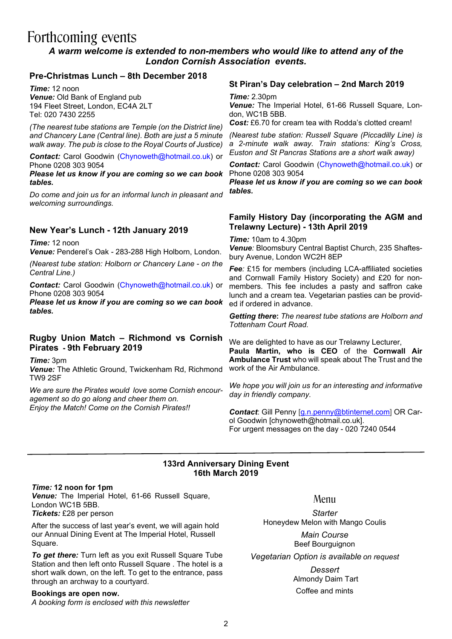# Forthcoming events

### *A warm welcome is extended to non-members who would like to attend any of the London Cornish Association events.*

### **Pre-Christmas Lunch – 8th December 2018**

*Time:* 12 noon *Venue:* Old Bank of England pub 194 Fleet Street, London, EC4A 2LT Tel: 020 7430 2255

*(The nearest tube stations are Temple (on the District line) and Chancery Lane (Central line). Both are just a 5 minute walk away. The pub is close to the Royal Courts of Justice)*

*Contact:* Carol Goodwin (Chynoweth@hotmail.co.uk) or Phone 0208 303 9054

*Please let us know if you are coming so we can book tables.*

*Do come and join us for an informal lunch in pleasant and welcoming surroundings.*

### **New Year's Lunch - 12th January 2019**

*Time:* 12 noon *Venue:* Penderel's Oak *-* 283-288 High Holborn, London.

*(Nearest tube station: Holborn or Chancery Lane - on the Central Line.)*

*Contact:* Carol Goodwin (Chynoweth@hotmail.co.uk) or Phone 0208 303 9054

*Please let us know if you are coming so we can book tables.*

#### **Rugby Union Match – Richmond vs Cornish Pirates - 9th February 2019**

*Time:* 3pm *Venue:* The Athletic Ground, Twickenham Rd, Richmond TW9 2SF

*We are sure the Pirates would love some Cornish encouragement so do go along and cheer them on. Enjoy the Match! Come on the Cornish Pirates!!*

### **St Piran's Day celebration – 2nd March 2019**

*Time:* 2.30pm

*Venue:* The Imperial Hotel, 61-66 Russell Square, London, WC1B 5BB.

*Cost:* £6.70 for cream tea with Rodda's clotted cream!

*(Nearest tube station: Russell Square (Piccadilly Line) is a 2-minute walk away. Train stations: King's Cross, Euston and St Pancras Stations are a short walk away)*

*Contact:* Carol Goodwin (Chynoweth@hotmail.co.uk) or Phone 0208 303 9054

*Please let us know if you are coming so we can book tables.*

#### **Family History Day (incorporating the AGM and Trelawny Lecture) - 13th April 2019**

*Time:* 10am to 4.30pm *Venue:* Bloomsbury Central Baptist Church, 235 Shaftesbury Avenue, London WC2H 8EP

*Fee:* £15 for members (including LCA-affiliated societies and Cornwall Family History Society) and £20 for nonmembers. This fee includes a pasty and saffron cake lunch and a cream tea. Vegetarian pasties can be provided if ordered in advance.

*Getting there***:** *The nearest tube stations are Holborn and Tottenham Court Road.*

We are delighted to have as our Trelawny Lecturer, **Paula Martin, who is CEO** of the **Cornwall Air Ambulance Trust** who will speak about The Trust and the work of the Air Ambulance.

*We hope you will join us for an interesting and informative day in friendly company.*

*Contact*: Gill Penny [g.n.penny@btinternet.com] OR Carol Goodwin [chynoweth@hotmail.co.uk]. For urgent messages on the day - 020 7240 0544

### **133rd Anniversary Dining Event 16th March 2019**

#### *Time:* **12 noon for 1pm**

*Venue:* The Imperial Hotel, 61-66 Russell Square, London WC1B 5BB. *Tickets:* £28 per person

After the success of last year's event, we will again hold our Annual Dining Event at The Imperial Hotel, Russell Square.

*To get there:* Turn left as you exit Russell Square Tube Station and then left onto Russell Square . The hotel is a short walk down, on the left. To get to the entrance, pass through an archway to a courtyard.

#### **Bookings are open now.**

*A booking form is enclosed with this newsletter*

Menu

*Starter* Honeydew Melon with Mango Coulis *Main Course* Beef Bourguignon

*Vegetarian Option is available on request*

*Dessert* Almondy Daim Tart Coffee and mints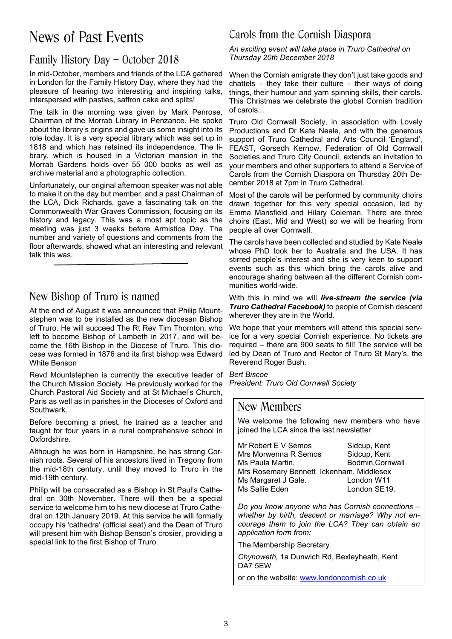# News of Past Events

### Family History Day – October 2018

In mid-October, members and friends of the LCA gathered in London for the Family History Day, where they had the pleasure of hearing two interesting and inspiring talks, interspersed with pasties, saffron cake and splits!

The talk in the morning was given by Mark Penrose, Chairman of the Morrab Library in Penzance. He spoke about the library's origins and gave us some insight into its role today. It is a very special library which was set up in 1818 and which has retained its independence. The library, which is housed in a Victorian mansion in the Morrab Gardens holds over 55 000 books as well as archive material and a photographic collection.

Unfortunately, our original afternoon speaker was not able to make it on the day but member, and a past Chairman of the LCA, Dick Richards, gave a fascinating talk on the Commonwealth War Graves Commission, focusing on its history and legacy. This was a most apt topic as the meeting was just 3 weeks before Armistice Day. The number and variety of questions and comments from the floor afterwards, showed what an interesting and relevant talk this was.

### New Bishop of Truro is named

At the end of August it was announced that Philip Mountstephen was to be installed as the new diocesan Bishop of Truro. He will succeed The Rt Rev Tim Thornton, who left to become Bishop of Lambeth in 2017, and will become the 16th Bishop in the Diocese of Truro. This diocese was formed in 1876 and its first bishop was Edward White Benson

Revd Mountstephen is currently the executive leader of the Church Mission Society. He previously worked for the Church Pastoral Aid Society and at St Michael's Church, Paris as well as in parishes in the Dioceses of Oxford and Southwark.

Before becoming a priest, he trained as a teacher and taught for four years in a rural comprehensive school in Oxfordshire.

Although he was born in Hampshire, he has strong Cornish roots. Several of his ancestors lived in Tregony from the mid-18th century, until they moved to Truro in the mid-19th century.

Philip will be consecrated as a Bishop in St Paul's Cathedral on 30th November. There will then be a special service to welcome him to his new diocese at Truro Cathedral on 12th January 2019. At this service he will formally occupy his 'cathedra' (official seat) and the Dean of Truro will present him with Bishop Benson's crosier, providing a special link to the first Bishop of Truro.

### Carols from the Cornish Diaspora

*An exciting event will take place in Truro Cathedral on Thursday 20th December 2018*

When the Cornish emigrate they don't just take goods and chattels – they take their culture – their ways of doing things, their humour and yarn spinning skills, their carols. This Christmas we celebrate the global Cornish tradition of carols...

Truro Old Cornwall Society, in association with Lovely Productions and Dr Kate Neale, and with the generous support of Truro Cathedral and Arts Council 'England', FEAST, Gorsedh Kernow, Federation of Old Cornwall Societies and Truro City Council, extends an invitation to your members and other supporters to attend a Service of Carols from the Cornish Diaspora on Thursday 20th December 2018 at 7pm in Truro Cathedral.

Most of the carols will be performed by community choirs drawn together for this very special occasion, led by Emma Mansfield and Hilary Coleman. There are three choirs (East, Mid and West) so we will be hearing from people all over Cornwall.

The carols have been collected and studied by Kate Neale whose PhD took her to Australia and the USA. It has stirred people's interest and she is very keen to support events such as this which bring the carols alive and encourage sharing between all the different Cornish communities world-wide.

With this in mind we will *live-stream the service (via Truro Cathedral Facebook)* to people of Cornish descent wherever they are in the World.

We hope that your members will attend this special service for a very special Cornish experience. No tickets are required – there are 900 seats to fill! The service will be led by Dean of Truro and Rector of Truro St Mary's, the Reverend Roger Bush.

*Bert Biscoe President: Truro Old Cornwall Society*

### New Members

We welcome the following new members who have joined the LCA since the last newsletter

| Mr Robert E V Semos                      | Sidcup, Kent     |
|------------------------------------------|------------------|
| Mrs Morwenna R Semos                     | Sidcup, Kent     |
| Ms Paula Martin.                         | Bodmin, Cornwall |
| Mrs Rosemary Bennett Ickenham, Middlesex |                  |
| Ms Margaret J Gale.                      | London W11       |
| Ms Sallie Eden                           | London SE19.     |

*Do you know anyone who has Cornish connections – whether by birth, descent or marriage? Why not encourage them to join the LCA? They can obtain an application form from:*

The Membership Secretary

*Chynoweth,* 1a Dunwich Rd, Bexleyheath, Kent DA7 5EW

or on the website: www.londoncornish.co.uk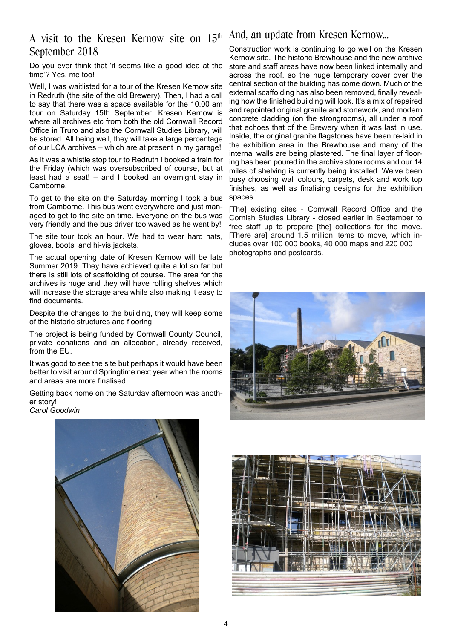### A visit to the Kresen Kernow site on 15<sup>th And, an update from Kresen Kernow...</sup> September 2018

Do you ever think that 'it seems like a good idea at the time'? Yes, me too!

Well, I was waitlisted for a tour of the Kresen Kernow site in Redruth (the site of the old Brewery). Then, I had a call to say that there was a space available for the 10.00 am tour on Saturday 15th September. Kresen Kernow is where all archives etc from both the old Cornwall Record Office in Truro and also the Cornwall Studies Library, will be stored. All being well, they will take a large percentage of our LCA archives – which are at present in my garage!

As it was a whistle stop tour to Redruth I booked a train for the Friday (which was oversubscribed of course, but at least had a seat! – and I booked an overnight stay in Camborne.

To get to the site on the Saturday morning I took a bus from Camborne. This bus went everywhere and just managed to get to the site on time. Everyone on the bus was very friendly and the bus driver too waved as he went by!

The site tour took an hour. We had to wear hard hats, gloves, boots and hi-vis jackets.

The actual opening date of Kresen Kernow will be late Summer 2019. They have achieved quite a lot so far but there is still lots of scaffolding of course. The area for the archives is huge and they will have rolling shelves which will increase the storage area while also making it easy to find documents.

Despite the changes to the building, they will keep some of the historic structures and flooring.

The project is being funded by Cornwall County Council, private donations and an allocation, already received, from the EU.

It was good to see the site but perhaps it would have been better to visit around Springtime next year when the rooms and areas are more finalised.

Getting back home on the Saturday afternoon was another story! *Carol Goodwin*



Construction work is continuing to go well on the Kresen Kernow site. The historic Brewhouse and the new archive store and staff areas have now been linked internally and across the roof, so the huge temporary cover over the central section of the building has come down. Much of the external scaffolding has also been removed, finally revealing how the finished building will look. It's a mix of repaired and repointed original granite and stonework, and modern concrete cladding (on the strongrooms), all under a roof that echoes that of the Brewery when it was last in use. Inside, the original granite flagstones have been re-laid in the exhibition area in the Brewhouse and many of the internal walls are being plastered. The final layer of flooring has been poured in the archive store rooms and our 14 miles of shelving is currently being installed. We've been busy choosing wall colours, carpets, desk and work top finishes, as well as finalising designs for the exhibition spaces.

[The] existing sites - Cornwall Record Office and the Cornish Studies Library - closed earlier in September to free staff up to prepare [the] collections for the move. [There are] around 1.5 million items to move, which includes over 100 000 books, 40 000 maps and 220 000 photographs and postcards.



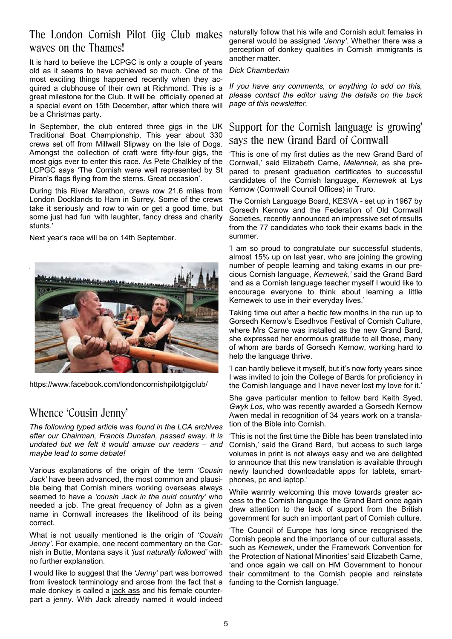### The London Cornish Pilot Gig Club makes waves on the Thames!

It is hard to believe the LCPGC is only a couple of years old as it seems to have achieved so much. One of the most exciting things happened recently when they acquired a clubhouse of their own at Richmond. This is a great milestone for the Club. It will be officially opened at a special event on 15th December, after which there will be a Christmas party.

In September, the club entered three gigs in the UK Traditional Boat Championship. This year about 330 crews set off from Millwall Slipway on the Isle of Dogs. Amongst the collection of craft were fifty-four gigs, the most gigs ever to enter this race. As Pete Chalkley of the LCPGC says 'The Cornish were well represented by St Piran's flags flying from the sterns. Great occasion'.

During this River Marathon, crews row 21.6 miles from London Docklands to Ham in Surrey. Some of the crews take it seriously and row to win or get a good time, but some just had fun 'with laughter, fancy dress and charity stunts.'

Next year's race will be on 14th September.



https://www.facebook.com/londoncornishpilotgigclub/

### Whence 'Cousin Jenny'

*The following typed article was found in the LCA archives after our Chairman, Francis Dunstan, passed away. It is undated but we felt it would amuse our readers – and maybe lead to some debate!*

Various explanations of the origin of the term *'Cousin Jack'* have been advanced, the most common and plausible being that Cornish miners working overseas always seemed to have a *'cousin Jack in the ould country'* who needed a job. The great frequency of John as a given name in Cornwall increases the likelihood of its being correct.

What is not usually mentioned is the origin of *'Cousin Jenny'*. For example, one recent commentary on the Cornish in Butte, Montana says it *'just naturally followed'* with no further explanation.

I would like to suggest that the *'Jenny'* part was borrowed from livestock terminology and arose from the fact that a male donkey is called a jack ass and his female counterpart a jenny. With Jack already named it would indeed

naturally follow that his wife and Cornish adult females in general would be assigned *'Jenny'*. Whether there was a perception of donkey qualities in Cornish immigrants is another matter.

#### *Dick Chamberlain*

*If you have any comments, or anything to add on this, please contact the editor using the details on the back page of this newsletter.*

### Support for the Cornish language is growing' says the new Grand Bard of Cornwall

'This is one of my first duties as the new Grand Bard of Cornwall,' said Elizabeth Carne, *Melennek,* as she prepared to present graduation certificates to successful candidates of the Cornish language, *Kernewek* at Lys Kernow (Cornwall Council Offices) in Truro.

The Cornish Language Board, KESVA - set up in 1967 by Gorsedh Kernow and the Federation of Old Cornwall Societies, recently announced an impressive set of results from the 77 candidates who took their exams back in the summer.

'I am so proud to congratulate our successful students, almost 15% up on last year, who are joining the growing number of people learning and taking exams in our precious Cornish language, *Kernewek,'* said the Grand Bard 'and as a Cornish language teacher myself I would like to encourage everyone to think about learning a little Kernewek to use in their everyday lives.'

Taking time out after a hectic few months in the run up to Gorsedh Kernow's Esedhvos Festival of Cornish Culture, where Mrs Carne was installed as the new Grand Bard, she expressed her enormous gratitude to all those, many of whom are bards of Gorsedh Kernow, working hard to help the language thrive.

'I can hardly believe it myself, but it's now forty years since I was invited to join the College of Bards for proficiency in the Cornish language and I have never lost my love for it.'

She gave particular mention to fellow bard Keith Syed, *Gwyk Los,* who was recently awarded a Gorsedh Kernow Awen medal in recognition of 34 years work on a translation of the Bible into Cornish.

'This is not the first time the Bible has been translated into Cornish,' said the Grand Bard, 'but access to such large volumes in print is not always easy and we are delighted to announce that this new translation is available through newly launched downloadable apps for tablets, smartphones, pc and laptop.'

While warmly welcoming this move towards greater access to the Cornish language the Grand Bard once again drew attention to the lack of support from the British government for such an important part of Cornish culture.

'The Council of Europe has long since recognised the Cornish people and the importance of our cultural assets, such as *Kernewek*, under the Framework Convention for the Protection of National Minorities' said Elizabeth Carne, 'and once again we call on HM Government to honour their commitment to the Cornish people and reinstate funding to the Cornish language.'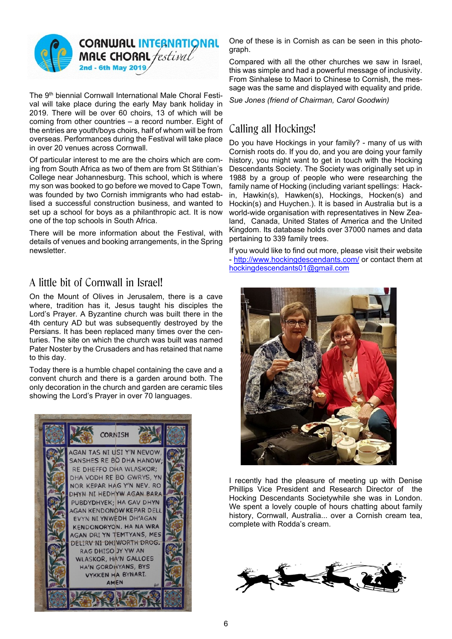

The 9<sup>th</sup> biennial Cornwall International Male Choral Festival will take place during the early May bank holiday in 2019. There will be over 60 choirs, 13 of which will be coming from other countries – a record number. Eight of the entries are youth/boys choirs, half of whom will be from overseas. Performances during the Festival will take place in over 20 venues across Cornwall.

Of particular interest to me are the choirs which are coming from South Africa as two of them are from St Stithian's College near Johannesburg. This school, which is where my son was booked to go before we moved to Cape Town, was founded by two Cornish immigrants who had establised a successful construction business, and wanted to set up a school for boys as a philanthropic act. It is now one of the top schools in South Africa.

There will be more information about the Festival, with details of venues and booking arrangements, in the Spring newsletter.

### A little bit of Cornwall in Israel!

On the Mount of Olives in Jerusalem, there is a cave where, tradition has it, Jesus taught his disciples the Lord's Prayer. A Byzantine church was built there in the 4th century AD but was subsequently destroyed by the Persians. It has been replaced many times over the centuries. The site on which the church was built was named Pater Noster by the Crusaders and has retained that name to this day.

Today there is a humble chapel containing the cave and a convent church and there is a garden around both. The only decoration in the church and garden are ceramic tiles showing the Lord's Prayer in over 70 languages.



One of these is in Cornish as can be seen in this photograph.

Compared with all the other churches we saw in Israel, this was simple and had a powerful message of inclusivity. From Sinhalese to Maori to Chinese to Cornish, the message was the same and displayed with equality and pride.

*Sue Jones (friend of Chairman, Carol Goodwin)*

## Calling all Hockings!

Do you have Hockings in your family? - many of us with Cornish roots do. If you do, and you are doing your family history, you might want to get in touch with the Hocking Descendants Society. The Society was originally set up in 1988 by a group of people who were researching the family name of Hocking (including variant spellings: Hackin, Hawkin(s), Hawken(s), Hockings, Hocken(s) and Hockin(s) and Huychen.). It is based in Australia but is a world-wide organisation with representatives in New Zealand, Canada, United States of America and the United Kingdom. Its database holds over 37000 names and data pertaining to 339 family trees.

If you would like to find out more, please visit their website - http://www.hockingdescendants.com/ or contact them at hockingdescendants01@gmail.com



I recently had the pleasure of meeting up with Denise Phillips Vice President and Research Director of the Hocking Descendants Societywhile she was in London. We spent a lovely couple of hours chatting about family history, Cornwall, Australia... over a Cornish cream tea, complete with Rodda's cream.

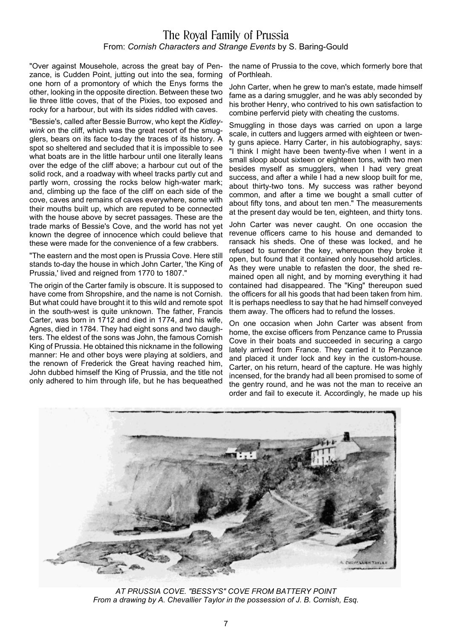### The Royal Family of Prussia From: *Cornish Characters and Strange Events* by S. Baring-Gould

"Over against Mousehole, across the great bay of Pen- the name of Prussia to the cove, which formerly bore that zance, is Cudden Point, jutting out into the sea, forming one horn of a promontory of which the Enys forms the other, looking in the opposite direction. Between these two lie three little coves, that of the Pixies, too exposed and rocky for a harbour, but with its sides riddled with caves.

"Bessie's, called after Bessie Burrow, who kept the *Kidleywink* on the cliff, which was the great resort of the smugglers, bears on its face to-day the traces of its history. A spot so sheltered and secluded that it is impossible to see what boats are in the little harbour until one literally leans over the edge of the cliff above; a harbour cut out of the solid rock, and a roadway with wheel tracks partly cut and partly worn, crossing the rocks below high-water mark; and, climbing up the face of the cliff on each side of the cove, caves and remains of caves everywhere, some with their mouths built up, which are reputed to be connected with the house above by secret passages. These are the trade marks of Bessie's Cove, and the world has not yet known the degree of innocence which could believe that these were made for the convenience of a few crabbers.

"The eastern and the most open is Prussia Cove. Here still stands to-day the house in which John Carter, 'the King of Prussia,' lived and reigned from 1770 to 1807."

The origin of the Carter family is obscure. It is supposed to have come from Shropshire, and the name is not Cornish. But what could have brought it to this wild and remote spot in the south-west is quite unknown. The father, Francis Carter, was born in 1712 and died in 1774, and his wife, Agnes, died in 1784. They had eight sons and two daughters. The eldest of the sons was John, the famous Cornish King of Prussia. He obtained this nickname in the following manner: He and other boys were playing at soldiers, and the renown of Frederick the Great having reached him, John dubbed himself the King of Prussia, and the title not only adhered to him through life, but he has bequeathed

of Porthleah.

John Carter, when he grew to man's estate, made himself fame as a daring smuggler, and he was ably seconded by his brother Henry, who contrived to his own satisfaction to combine perfervid piety with cheating the customs.

Smuggling in those days was carried on upon a large scale, in cutters and luggers armed with eighteen or twenty guns apiece. Harry Carter, in his autobiography, says: "I think I might have been twenty-five when I went in a small sloop about sixteen or eighteen tons, with two men besides myself as smugglers, when I had very great success, and after a while I had a new sloop built for me, about thirty-two tons. My success was rather beyond common, and after a time we bought a small cutter of about fifty tons, and about ten men." The measurements at the present day would be ten, eighteen, and thirty tons.

John Carter was never caught. On one occasion the revenue officers came to his house and demanded to ransack his sheds. One of these was locked, and he refused to surrender the key, whereupon they broke it open, but found that it contained only household articles. As they were unable to refasten the door, the shed remained open all night, and by morning everything it had contained had disappeared. The "King" thereupon sued the officers for all his goods that had been taken from him. It is perhaps needless to say that he had himself conveyed them away. The officers had to refund the losses.

On one occasion when John Carter was absent from home, the excise officers from Penzance came to Prussia Cove in their boats and succeeded in securing a cargo lately arrived from France. They carried it to Penzance and placed it under lock and key in the custom-house. Carter, on his return, heard of the capture. He was highly incensed, for the brandy had all been promised to some of the gentry round, and he was not the man to receive an order and fail to execute it. Accordingly, he made up his



*AT PRUSSIA COVE. "BESSY'S" COVE FROM BATTERY POINT From a drawing by A. Chevallier Taylor in the possession of J. B. Cornish, Esq.*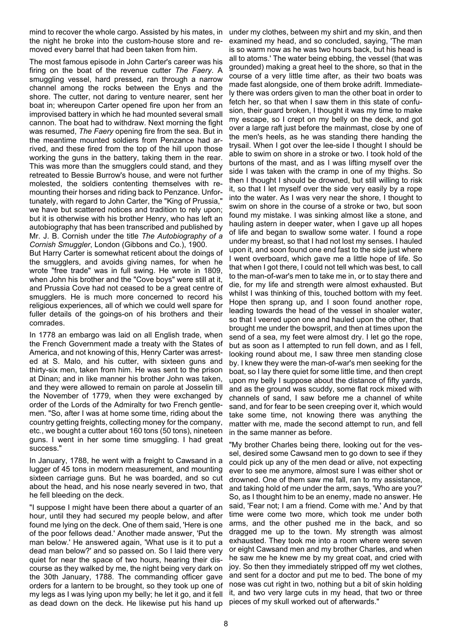mind to recover the whole cargo. Assisted by his mates, in under my clothes, between my shirt and my skin, and then the night he broke into the custom-house store and removed every barrel that had been taken from him.

The most famous episode in John Carter's career was his firing on the boat of the revenue cutter *The Faery*. A smuggling vessel, hard pressed, ran through a narrow channel among the rocks between the Enys and the shore. The cutter, not daring to venture nearer, sent her boat in; whereupon Carter opened fire upon her from an improvised battery in which he had mounted several small cannon. The boat had to withdraw. Next morning the fight was resumed, *The Faery* opening fire from the sea. But in the meantime mounted soldiers from Penzance had arrived, and these fired from the top of the hill upon those working the guns in the battery, taking them in the rear. This was more than the smugglers could stand, and they retreated to Bessie Burrow's house, and were not further molested, the soldiers contenting themselves with remounting their horses and riding back to Penzance. Unfortunately, with regard to John Carter, the "King of Prussia," we have but scattered notices and tradition to rely upon; but it is otherwise with his brother Henry, who has left an autobiography that has been transcribed and published by Mr. J. B. Cornish under the title *The Autobiography of a Cornish Smuggler*, London (Gibbons and Co.), 1900.

But Harry Carter is somewhat reticent about the doings of the smugglers, and avoids giving names, for when he wrote "free trade" was in full swing. He wrote in 1809, when John his brother and the "Cove boys" were still at it, and Prussia Cove had not ceased to be a great centre of smugglers. He is much more concerned to record his religious experiences, all of which we could well spare for fuller details of the goings-on of his brothers and their comrades.

In 1778 an embargo was laid on all English trade, when the French Government made a treaty with the States of America, and not knowing of this, Henry Carter was arrested at S. Malo, and his cutter, with sixteen guns and thirty-six men, taken from him. He was sent to the prison at Dinan; and in like manner his brother John was taken, and they were allowed to remain on parole at Josselin till the November of 1779, when they were exchanged by order of the Lords of the Admiralty for two French gentlemen. "So, after I was at home some time, riding about the country getting freights, collecting money for the company, etc., we bought a cutter about 160 tons (50 tons), nineteen guns. I went in her some time smuggling. I had great success."

In January, 1788, he went with a freight to Cawsand in a lugger of 45 tons in modern measurement, and mounting sixteen carriage guns. But he was boarded, and so cut about the head, and his nose nearly severed in two, that he fell bleeding on the deck.

"I suppose I might have been there about a quarter of an hour, until they had secured my people below, and after found me lying on the deck. One of them said, 'Here is one of the poor fellows dead.' Another made answer, 'Put the man below.' He answered again, 'What use is it to put a dead man below?' and so passed on. So I laid there very quiet for near the space of two hours, hearing their discourse as they walked by me, the night being very dark on the 30th January, 1788. The commanding officer gave orders for a lantern to be brought, so they took up one of my legs as I was lying upon my belly; he let it go, and it fell as dead down on the deck. He likewise put his hand up

examined my head, and so concluded, saying, 'The man is so warm now as he was two hours back, but his head is all to atoms.' The water being ebbing, the vessel (that was grounded) making a great heel to the shore, so that in the course of a very little time after, as their two boats was made fast alongside, one of them broke adrift. Immediately there was orders given to man the other boat in order to fetch her, so that when I saw them in this state of confusion, their guard broken, I thought it was my time to make my escape, so I crept on my belly on the deck, and got over a large raft just before the mainmast, close by one of the men's heels, as he was standing there handing the trysail. When I got over the lee-side I thought I should be able to swim on shore in a stroke or two. I took hold of the burtons of the mast, and as I was lifting myself over the side I was taken with the cramp in one of my thighs. So then I thought I should be drowned, but still willing to risk it, so that I let myself over the side very easily by a rope into the water. As I was very near the shore, I thought to swim on shore in the course of a stroke or two, but soon found my mistake. I was sinking almost like a stone, and hauling astern in deeper water, when I gave up all hopes of life and began to swallow some water. I found a rope under my breast, so that I had not lost my senses. I hauled upon it, and soon found one end fast to the side just where I went overboard, which gave me a little hope of life. So that when I got there, I could not tell which was best, to call to the man-of-war's men to take me in, or to stay there and die, for my life and strength were almost exhausted. But whilst I was thinking of this, touched bottom with my feet. Hope then sprang up, and I soon found another rope, leading towards the head of the vessel in shoaler water, so that I veered upon one and hauled upon the other, that brought me under the bowsprit, and then at times upon the send of a sea, my feet were almost dry. I let go the rope, but as soon as I attempted to run fell down, and as I fell, looking round about me, I saw three men standing close by. I knew they were the man-of-war's men seeking for the boat, so I lay there quiet for some little time, and then crept upon my belly I suppose about the distance of fifty yards, and as the ground was scuddy, some flat rock mixed with channels of sand, I saw before me a channel of white sand, and for fear to be seen creeping over it, which would take some time, not knowing there was anything the matter with me, made the second attempt to run, and fell in the same manner as before.

"My brother Charles being there, looking out for the vessel, desired some Cawsand men to go down to see if they could pick up any of the men dead or alive, not expecting ever to see me anymore, almost sure I was either shot or drowned. One of them saw me fall, ran to my assistance, and taking hold of me under the arm, says, 'Who are you?' So, as I thought him to be an enemy, made no answer. He said, 'Fear not; I am a friend. Come with me.' And by that time were come two more, which took me under both arms, and the other pushed me in the back, and so dragged me up to the town. My strength was almost exhausted. They took me into a room where were seven or eight Cawsand men and my brother Charles, and when he saw me he knew me by my great coat, and cried with joy. So then they immediately stripped off my wet clothes, and sent for a doctor and put me to bed. The bone of my nose was cut right in two, nothing but a bit of skin holding it, and two very large cuts in my head, that two or three pieces of my skull worked out of afterwards."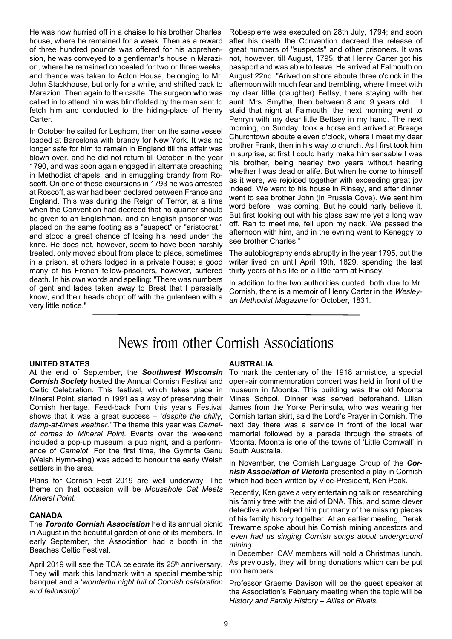He was now hurried off in a chaise to his brother Charles' house, where he remained for a week. Then as a reward of three hundred pounds was offered for his apprehension, he was conveyed to a gentleman's house in Marazion, where he remained concealed for two or three weeks, and thence was taken to Acton House, belonging to Mr. John Stackhouse, but only for a while, and shifted back to Marazion. Then again to the castle. The surgeon who was called in to attend him was blindfolded by the men sent to fetch him and conducted to the hiding-place of Henry Carter.

In October he sailed for Leghorn, then on the same vessel loaded at Barcelona with brandy for New York. It was no longer safe for him to remain in England till the affair was blown over, and he did not return till October in the year 1790, and was soon again engaged in alternate preaching in Methodist chapels, and in smuggling brandy from Roscoff. On one of these excursions in 1793 he was arrested at Roscoff, as war had been declared between France and England. This was during the Reign of Terror, at a time when the Convention had decreed that no quarter should be given to an Englishman, and an English prisoner was placed on the same footing as a "suspect" or "aristocrat," and stood a great chance of losing his head under the knife. He does not, however, seem to have been harshly treated, only moved about from place to place, sometimes in a prison, at others lodged in a private house; a good many of his French fellow-prisoners, however, suffered death. In his own words and spelling: "There was numbers of gent and lades taken away to Brest that I parssially know, and their heads chopt off with the gulenteen with a very little notice."

Robespierre was executed on 28th July, 1794; and soon after his death the Convention decreed the release of great numbers of "suspects" and other prisoners. It was not, however, till August, 1795, that Henry Carter got his passport and was able to leave. He arrived at Falmouth on August 22nd. "Arived on shore aboute three o'clock in the afternoon with much fear and trembling, where I meet with my dear little (daughter) Bettsy, there staying with her aunt, Mrs. Smythe, then between 8 and 9 years old.... I staid that night at Falmouth, the next morning went to Penryn with my dear little Bettsey in my hand. The next morning, on Sunday, took a horse and arrived at Breage Churchtown aboute eleven o'clock, where I meet my dear brother Frank, then in his way to church. As I first took him in surprise, at first I could harly make him sensable I was his brother, being nearley two years without hearing whether I was dead or alife. But when he come to himself as it were, we rejoiced together with exceeding great joy indeed. We went to his house in Rinsey, and after dinner went to see brother John (in Prussia Cove). We sent him word before I was coming. But he could harly believe it. But first looking out with his glass saw me yet a long way off. Ran to meet me, fell upon my neck. We passed the afternoon with him, and in the evning went to Keneggy to see brother Charles."

The autobiography ends abruptly in the year 1795, but the writer lived on until April 19th, 1829, spending the last thirty years of his life on a little farm at Rinsey.

In addition to the two authorities quoted, both due to Mr. Cornish, there is a memoir of Henry Carter in the *Wesleyan Methodist Magazine* for October, 1831.

# News from other Cornish Associations

#### **UNITED STATES**

At the end of September, the *Southwest Wisconsin Cornish Society* hosted the Annual Cornish Festival and Celtic Celebration. This festival, which takes place in Mineral Point, started in 1991 as a way of preserving their Cornish heritage. Feed-back from this year's Festival shows that it was a great success – '*despite the chilly, damp-at-times weather.'* The theme this year was *Camelot comes to Mineral Point.* Events over the weekend included a pop-up museum, a pub night, and a performance of *Camelot*. For the first time, the Gymnfa Ganu (Welsh Hymn-sing) was added to honour the early Welsh settlers in the area.

Plans for Cornish Fest 2019 are well underway. The theme on that occasion will be *Mousehole Cat Meets Mineral Point*.

#### **CANADA**

The *Toronto Cornish Association* held its annual picnic in August in the beautiful garden of one of its members. In early September, the Association had a booth in the Beaches Celtic Festival.

April 2019 will see the TCA celebrate its 25<sup>th</sup> anniversary. They will mark this landmark with a special membership banquet and a '*wonderful night full of Cornish celebration and fellowship'.*

#### **AUSTRALIA**

To mark the centenary of the 1918 armistice, a special open-air commemoration concert was held in front of the museum in Moonta. This building was the old Moonta Mines School. Dinner was served beforehand. Lilian James from the Yorke Peninsula, who was wearing her Cornish tartan skirt, said the Lord's Prayer in Cornish. The next day there was a service in front of the local war memorial followed by a parade through the streets of Moonta. Moonta is one of the towns of 'Little Cornwall' in South Australia.

In November, the Cornish Language Group of the *Cornish Association of Victoria* presented a play in Cornish which had been written by Vice-President, Ken Peak.

Recently, Ken gave a very entertaining talk on researching his family tree with the aid of DNA. This, and some clever detective work helped him put many of the missing pieces of his family history together. At an earlier meeting, Derek Trewarne spoke about his Cornish mining ancestors and '*even had us singing Cornish songs about underground mining'.*

In December, CAV members will hold a Christmas lunch. As previously, they will bring donations which can be put into hampers.

Professor Graeme Davison will be the guest speaker at the Association's February meeting when the topic will be *History and Family History – Allies or Rivals.*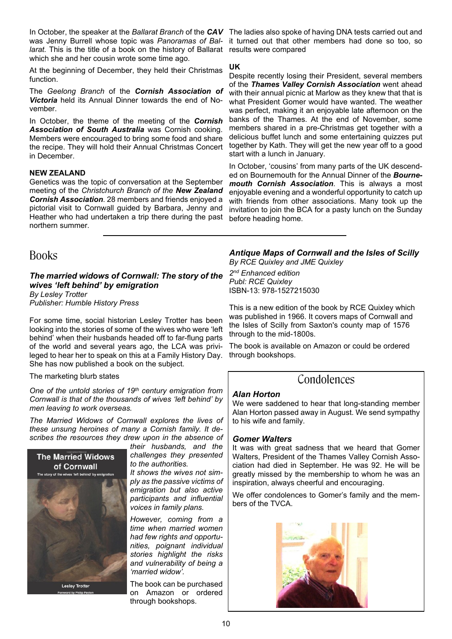In October, the speaker at the *Ballarat Branch* of the *CAV* The ladies also spoke of having DNA tests carried out and was Jenny Burrell whose topic was *Panoramas of Bal*larat. This is the title of a book on the history of Ballarat results were compared which she and her cousin wrote some time ago.

At the beginning of December, they held their Christmas function.

The *Geelong Branch* of the *Cornish Association of Victoria* held its Annual Dinner towards the end of November.

In October, the theme of the meeting of the *Cornish Association of South Australia* was Cornish cooking. Members were encouraged to bring some food and share the recipe. They will hold their Annual Christmas Concert in December.

#### **NEW ZEALAND**

Genetics was the topic of conversation at the September meeting of the *Christchurch Branch of the New Zealand Cornish Association*. 28 members and friends enjoyed a pictorial visit to Cornwall guided by Barbara, Jenny and Heather who had undertaken a trip there during the past northern summer.

**Books** 

*The married widows of Cornwall: The story of the wives 'left behind' by emigration By Lesley Trotter*

*Publisher: Humble History Press*

For some time, social historian Lesley Trotter has been looking into the stories of some of the wives who were 'left behind' when their husbands headed off to far-flung parts of the world and several years ago, the LCA was privileged to hear her to speak on this at a Family History Day. She has now published a book on the subject.

The marketing blurb states

*One of the untold stories of 19th century emigration from Cornwall is that of the thousands of wives 'left behind' by men leaving to work overseas.*

*The Married Widows of Cornwall explores the lives of these unsung heroines of many a Cornish family. It describes the resources they drew upon in the absence of*



*their husbands, and the challenges they presented to the authorities.*

*It shows the wives not simply as the passive victims of emigration but also active participants and influential voices in family plans.*

*However, coming from a time when married women had few rights and opportunities, poignant individual stories highlight the risks and vulnerability of being a 'married widow'.*

The book can be purchased on Amazon or ordered through bookshops.

it turned out that other members had done so too, so

#### **UK**

Despite recently losing their President, several members of the *Thames Valley Cornish Association* went ahead with their annual picnic at Marlow as they knew that that is what President Gomer would have wanted. The weather was perfect, making it an enjoyable late afternoon on the banks of the Thames. At the end of November, some members shared in a pre-Christmas get together with a delicious buffet lunch and some entertaining quizzes put together by Kath. They will get the new year off to a good start with a lunch in January.

In October, 'cousins' from many parts of the UK descended on Bournemouth for the Annual Dinner of the *Bournemouth Cornish Association*. This is always a most enjoyable evening and a wonderful opportunity to catch up with friends from other associations. Many took up the invitation to join the BCA for a pasty lunch on the Sunday before heading home.

*Antique Maps of Cornwall and the Isles of Scilly By RCE Quixley and JME Quixley*

*2 nd Enhanced edition Publ: RCE Quixley* ISBN-13: 978-1527215030

This is a new edition of the book by RCE Quixley which was published in 1966. It covers maps of Cornwall and the Isles of Scilly from Saxton's county map of 1576 through to the mid-1800s.

The book is available on Amazon or could be ordered through bookshops.

### Condolences

### *Alan Horton*

We were saddened to hear that long-standing member Alan Horton passed away in August. We send sympathy to his wife and family.

#### *Gomer Walters*

It was with great sadness that we heard that Gomer Walters, President of the Thames Valley Cornish Association had died in September. He was 92. He will be greatly missed by the membership to whom he was an inspiration, always cheerful and encouraging.

We offer condolences to Gomer's family and the members of the TVCA.

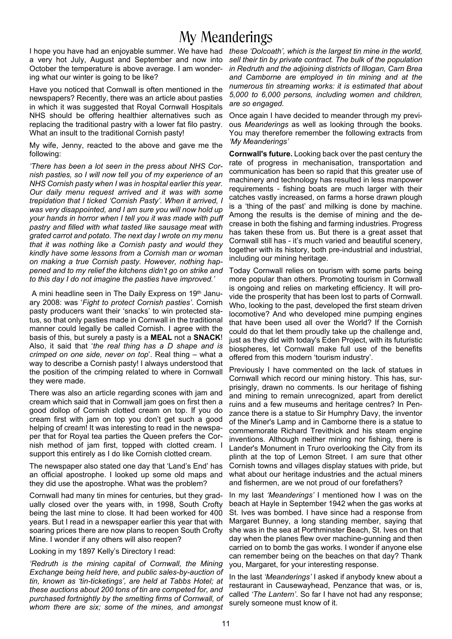# My Meanderings

I hope you have had an enjoyable summer. We have had *these 'Dolcoath', which is the largest tin mine in the world,* a very hot July, August and September and now into October the temperature is above average. I am wondering what our winter is going to be like?

Have you noticed that Cornwall is often mentioned in the newspapers? Recently, there was an article about pasties in which it was suggested that Royal Cornwall Hospitals NHS should be offering healthier alternatives such as replacing the traditional pastry with a lower fat filo pastry. What an insult to the traditional Cornish pasty!

My wife, Jenny, reacted to the above and gave me the following:

*'There has been a lot seen in the press about NHS Cornish pasties, so I will now tell you of my experience of an NHS Cornish pasty when I was in hospital earlier this year. Our daily menu request arrived and it was with some trepidation that I ticked 'Cornish Pasty'. When it arrived, I was very disappointed, and I am sure you will now hold up your hands in horror when I tell you it was made with puff pastry and filled with what tasted like sausage meat with grated carrot and potato. The next day I wrote on my menu that it was nothing like a Cornish pasty and would they kindly have some lessons from a Cornish man or woman on making a true Cornish pasty. However, nothing happened and to my relief the kitchens didn't go on strike and to this day I do not imagine the pasties have improved.'*

A mini headline seen in The Daily Express on 19th January 2008: was '*Fight to protect Cornish pasties'*. Cornish pasty producers want their 'snacks' to win protected status, so that only pasties made in Cornwall in the traditional manner could legally be called Cornish. I agree with the basis of this, but surely a pasty is a **MEAL** not a **SNACK**! Also, it said that '*the real thing has a D shape and is crimped on one side, never on top*'. Real thing – what a way to describe a Cornish pasty! I always understood that the position of the crimping related to where in Cornwall they were made.

There was also an article regarding scones with jam and cream which said that in Cornwall jam goes on first then a good dollop of Cornish clotted cream on top. If you do cream first with jam on top you don't get such a good helping of cream! It was interesting to read in the newspaper that for Royal tea parties the Queen prefers the Cornish method of jam first, topped with clotted cream. I support this entirely as I do like Cornish clotted cream.

The newspaper also stated one day that 'Land's End' has an official apostrophe. I looked up some old maps and they did use the apostrophe. What was the problem?

Cornwall had many tin mines for centuries, but they gradually closed over the years with, in 1998, South Crofty being the last mine to close. It had been worked for 400 years. But I read in a newspaper earlier this year that with soaring prices there are now plans to reopen South Crofty Mine. I wonder if any others will also reopen?

#### Looking in my 1897 Kelly's Directory I read:

*'Redruth is the mining capital of Cornwall, the Mining Exchange being held here, and public sales-by-auction of tin, known as 'tin-ticketings', are held at Tabbs Hotel; at these auctions about 200 tons of tin are competed for, and purchased fortnightly by the smelting firms of Cornwall, of whom there are six; some of the mines, and amongst*

*sell their tin by private contract. The bulk of the population in Redruth and the adjoining districts of Illogan, Carn Brea and Camborne are employed in tin mining and at the numerous tin streaming works: it is estimated that about 5,000 to 6,000 persons, including women and children, are so engaged.*

Once again I have decided to meander through my previous *Meanderings* as well as looking through the books. You may therefore remember the following extracts from *'My Meanderings'*

**Cornwall's future.** Looking back over the past century the rate of progress in mechanisation, transportation and communication has been so rapid that this greater use of machinery and technology has resulted in less manpower requirements - fishing boats are much larger with their catches vastly increased, on farms a horse drawn plough is a 'thing of the past' and milking is done by machine. Among the results is the demise of mining and the decrease in both the fishing and farming industries. Progress has taken these from us. But there is a great asset that Cornwall still has - it's much varied and beautiful scenery, together with its history, both pre-industrial and industrial, including our mining heritage.

Today Cornwall relies on tourism with some parts being more popular than others. Promoting tourism in Cornwall is ongoing and relies on marketing efficiency. It will provide the prosperity that has been lost to parts of Cornwall. Who, looking to the past, developed the first steam driven locomotive? And who developed mine pumping engines that have been used all over the World? If the Cornish could do that let them proudly take up the challenge and, just as they did with today's Eden Project, with its futuristic biospheres, let Cornwall make full use of the benefits offered from this modern 'tourism industry'.

Previously I have commented on the lack of statues in Cornwall which record our mining history. This has, surprisingly, drawn no comments. Is our heritage of fishing and mining to remain unrecognized, apart from derelict ruins and a few museums and heritage centres? In Penzance there is a statue to Sir Humphry Davy, the inventor of the Miner's Lamp and in Camborne there is a statue to commemorate Richard Trevithick and his steam engine inventions. Although neither mining nor fishing, there is Lander's Monument in Truro overlooking the City from its plinth at the top of Lemon Street. I am sure that other Cornish towns and villages display statues with pride, but what about our heritage industries and the actual miners and fishermen, are we not proud of our forefathers?

In my last *'Meanderings'* I mentioned how I was on the beach at Hayle in September 1942 when the gas works at St. Ives was bombed. I have since had a response from Margaret Bunney, a long standing member, saying that she was in the sea at Porthminster Beach, St. Ives on that day when the planes flew over machine-gunning and then carried on to bomb the gas works. I wonder if anyone else can remember being on the beaches on that day? Thank you, Margaret, for your interesting response.

In the last *'Meanderings'* I asked if anybody knew about a restaurant in Causewayhead, Penzance that was, or is, called *'The Lantern'*. So far I have not had any response; surely someone must know of it.